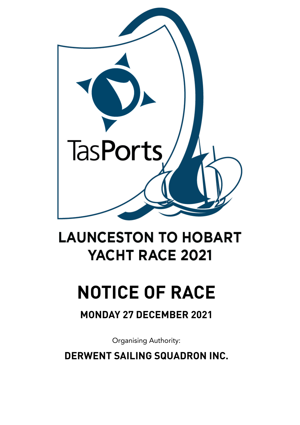

## **LAUNCESTON TO HOBART** YACHT RACE 2021

# **NOTICE OF RACE**

### **MONDAY 27 DECEMBER 2021**

Organising Authority:

**DERWENT SAILING SQUADRON INC.**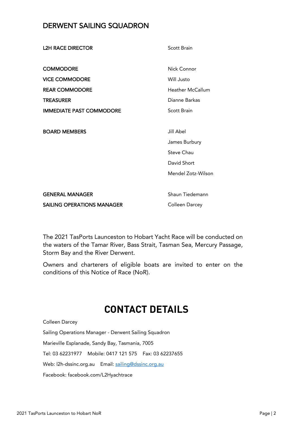#### DERWENT SAILING SQUADRON

| <b>L2H RACE DIRECTOR</b>          | <b>Scott Brain</b>      |
|-----------------------------------|-------------------------|
| <b>COMMODORE</b>                  | Nick Connor             |
| <b>VICE COMMODORE</b>             | Will Justo              |
| <b>REAR COMMODORE</b>             | <b>Heather McCallum</b> |
| <b>TREASURER</b>                  | Dianne Barkas           |
| <b>IMMEDIATE PAST COMMODORE</b>   | <b>Scott Brain</b>      |
| <b>BOARD MEMBERS</b>              | Jill Abel               |
|                                   | James Burbury           |
|                                   | <b>Steve Chau</b>       |
|                                   | David Short             |
|                                   | Mendel Zotz-Wilson      |
|                                   |                         |
| <b>GENERAL MANAGER</b>            | Shaun Tiedemann         |
| <b>SAILING OPERATIONS MANAGER</b> | Colleen Darcey          |

The 2021 TasPorts Launceston to Hobart Yacht Race will be conducted on the waters of the Tamar River, Bass Strait, Tasman Sea, Mercury Passage, Storm Bay and the River Derwent.

Owners and charterers of eligible boats are invited to enter on the conditions of this Notice of Race (NoR).

### **CONTACT DETAILS**

Colleen Darcey Sailing Operations Manager - Derwent Sailing Squadron Marieville Esplanade, Sandy Bay, Tasmania, 7005 Tel: 03 62231977 Mobile: 0417 121 575 Fax: 03 62237655 Web: l2h-dssinc.org.au Email: [sailing@dssinc.org.au](mailto:sailing@dssinc.org.au) Facebook: facebook.com/L2Hyachtrace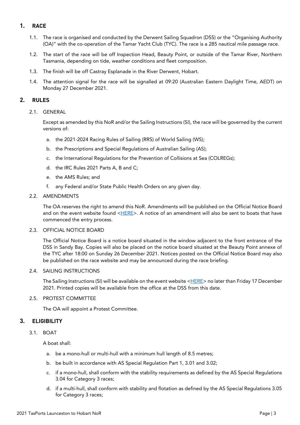#### **1. RACE**

- 1.1. The race is organised and conducted by the Derwent Sailing Squadron (DSS) or the "Organising Authority (OA)" with the co-operation of the Tamar Yacht Club (TYC). The race is a 285 nautical mile passage race.
- 1.2. The start of the race will be off Inspection Head, Beauty Point, or outside of the Tamar River, Northern Tasmania, depending on tide, weather conditions and fleet composition.
- 1.3. The finish will be off Castray Esplanade in the River Derwent, Hobart.
- 1.4. The attention signal for the race will be signalled at 09:20 (Australian Eastern Daylight Time, AEDT) on Monday 27 December 2021.

#### **2. RULES**

2.1. GENERAL

Except as amended by this NoR and/or the Sailing Instructions (SI), the race will be governed by the current versions of:

- a. the 2021-2024 Racing Rules of Sailing (RRS) of World Sailing (WS);
- b. the Prescriptions and Special Regulations of Australian Sailing (AS);
- c. the International Regulations for the Prevention of Collisions at Sea (COLREGs);
- d. the IRC Rules 2021 Parts A, B and C;
- e. the AMS Rules; and
- f. any Federal and/or State Public Health Orders on any given day.

#### 2.2. AMENDMENTS

The OA reserves the right to amend this NoR. Amendments will be published on the Official Notice Board and on the event website found [<HERE>](https://l2h-dssinc.org.au/race-documents/). A notice of an amendment will also be sent to boats that have commenced the entry process.

#### 2.3. OFFICIAL NOTICE BOARD

The Official Notice Board is a notice board situated in the window adjacent to the front entrance of the DSS in Sandy Bay. Copies will also be placed on the notice board situated at the Beauty Point annexe of the TYC after 18:00 on Sunday 26 December 2021. Notices posted on the Official Notice Board may also be published on the race website and may be announced during the race briefing.

#### 2.4. SAILING INSTRUCTIONS

The Sailing Instructions (SI) will be available on the event website [<HERE>](https://l2h-dssinc.org.au/race-documents/) no later than Friday 17 December 2021. Printed copies will be available from the office at the DSS from this date.

#### 2.5. PROTEST COMMITTEE

The OA will appoint a Protest Committee.

#### **3. ELIGIBILITY**

#### 3.1. BOAT

A boat shall:

- a. be a mono-hull or multi-hull with a minimum hull length of 8.5 metres;
- b. be built in accordance with AS Special Regulation Part 1, 3.01 and 3.02;
- c. if a mono-hull, shall conform with the stability requirements as defined by the AS Special Regulations 3.04 for Category 3 races;
- d. if a multi-hull, shall conform with stability and flotation as defined by the AS Special Regulations 3.05 for Category 3 races;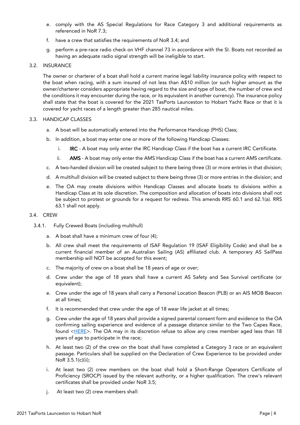- e. comply with the AS Special Regulations for Race Category 3 and additional requirements as referenced in NoR 7.3;
- f. have a crew that satisfies the requirements of NoR 3.4; and
- g. perform a pre-race radio check on VHF channel 73 in accordance with the SI. Boats not recorded as having an adequate radio signal strength will be ineligible to start.

#### 3.2. INSURANCE

The owner or charterer of a boat shall hold a current marine legal liability insurance policy with respect to the boat when racing, with a sum insured of not less than A\$10 million (or such higher amount as the owner/charterer considers appropriate having regard to the size and type of boat, the number of crew and the conditions it may encounter during the race, or its equivalent in another currency). The insurance policy shall state that the boat is covered for the 2021 TasPorts Launceston to Hobart Yacht Race or that it is covered for yacht races of a length greater than 285 nautical miles.

#### 3.3. HANDICAP CLASSES

- a. A boat will be automatically entered into the Performance Handicap (PHS) Class;
- b. In addition, a boat may enter one or more of the following Handicap Classes:
	- i. IRC A boat may only enter the IRC Handicap Class if the boat has a current IRC Certificate.
	- ii. AMS A boat may only enter the AMS Handicap Class if the boat has a current AMS certificate.
- c. A two-handed division will be created subject to there being three (3) or more entries in that division;
- d. A multihull division will be created subject to there being three (3) or more entries in the division; and
- e. The OA may create divisions within Handicap Classes and allocate boats to divisions within a Handicap Class at its sole discretion. The composition and allocation of boats into divisions shall not be subject to protest or grounds for a request for redress. This amends RRS 60.1 and 62.1(a). RRS 63.1 shall not apply.

#### 3.4. CREW

- 3.4.1. Fully Crewed Boats (including multihull)
	- a. A boat shall have a minimum crew of four (4);
	- b. All crew shall meet the requirements of ISAF Regulation 19 (ISAF Eligibility Code) and shall be a current financial member of an Australian Sailing (AS) affiliated club. A temporary AS SailPass membership will NOT be accepted for this event;
	- c. The majority of crew on a boat shall be 18 years of age or over;
	- d. Crew under the age of 18 years shall have a current AS Safety and Sea Survival certificate (or equivalent);
	- e. Crew under the age of 18 years shall carry a Personal Location Beacon (PLB) or an AIS MOB Beacon at all times;
	- f. It is recommended that crew under the age of 18 wear life jacket at all times;
	- g. Crew under the age of 18 years shall provide a signed parental consent form and evidence to the OA confirming sailing experience and evidence of a passage distance similar to the Two Capes Race, found [<HERE>](https://l2h-dssinc.org.au/race-documents/). The OA may in its discretion refuse to allow any crew member aged less than 18 years of age to participate in the race;
	- h. At least two (2) of the crew on the boat shall have completed a Category 3 race or an equivalent passage. Particulars shall be supplied on the Declaration of Crew Experience to be provided under NoR 3.5.1(c)(ii);
	- i. At least two (2) crew members on the boat shall hold a Short-Range Operators Certificate of Proficiency (SROCP) issued by the relevant authority, or a higher qualification. The crew's relevant certificates shall be provided under NoR 3.5;
	- j. At least two (2) crew members shall: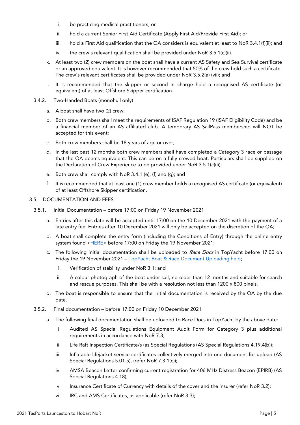- i. be practicing medical practitioners; or
- ii. hold a current Senior First Aid Certificate (Apply First Aid/Provide First Aid); or
- iii. hold a First Aid qualification that the OA considers is equivalent at least to NoR 3.4.1(f)(ii); and
- iv. the crew's relevant qualification shall be provided under NoR 3.5.1(c)(ii).
- k. At least two (2) crew members on the boat shall have a current AS Safety and Sea Survival certificate or an approved equivalent. It is however recommended that 50% of the crew hold such a certificate. The crew's relevant certificates shall be provided under NoR 3.5.2(a) (vii); and
- l. It is recommended that the skipper or second in charge hold a recognised AS certificate (or equivalent) of at least Offshore Skipper certification.
- 3.4.2. Two-Handed Boats (monohull only)
	- a. A boat shall have two (2) crew;
	- b. Both crew members shall meet the requirements of ISAF Regulation 19 (ISAF Eligibility Code) and be a financial member of an AS affiliated club. A temporary AS SailPass membership will NOT be accepted for this event;
	- c. Both crew members shall be 18 years of age or over;
	- d. In the last past 12 months both crew members shall have completed a Category 3 race or passage that the OA deems equivalent. This can be on a fully crewed boat. Particulars shall be supplied on the Declaration of Crew Experience to be provided under NoR 3.5.1(c)(ii);
	- e. Both crew shall comply with NoR 3.4.1 (e), (f) and (g); and
	- f. It is recommended that at least one (1) crew member holds a recognised AS certificate (or equivalent) of at least Offshore Skipper certification.

#### 3.5. DOCUMENTATION AND FEES

- 3.5.1. Initial Documentation before 17:00 on Friday 19 November 2021
	- a. Entries after this date will be accepted until 17:00 on the 10 December 2021 with the payment of a late entry fee. Entries after 10 December 2021 will only be accepted on the discretion of the OA;
	- b. A boat shall complete the entry form (including the Conditions of Entry) through the online entry system found [<HERE>](https://www.topyacht.com.au/db/kb/1486) before 17:00 on Friday the 19 November 2021;
	- c. The following initial documentation shall be uploaded to Race Docs in TopYacht before 17:00 on Friday the 19 November 2021 – [TopYacht Boat & Race Document Uploading help;](https://www.topyacht.com.au/mt/docs/Boat-and-Race-Document-Uploading.pdf)
		- i. Verification of stability under NoR 3.1; and
		- ii. A colour photograph of the boat under sail, no older than 12 months and suitable for search and rescue purposes. This shall be with a resolution not less than 1200 x 800 pixels.
	- d. The boat is responsible to ensure that the initial documentation is received by the OA by the due date.
- 3.5.2. Final documentation before 17:00 on Friday 10 December 2021
	- a. The following final documentation shall be uploaded to Race Docs in TopYacht by the above date:
		- i. Audited AS Special Regulations Equipment Audit Form for Category 3 plus additional requirements in accordance with NoR 7.3;
		- ii. Life Raft Inspection Certificate/s (as Special Regulations (AS Special Regulations 4.19.4(b));
		- iii. Inflatable lifejacket service certificates collectively merged into one document for upload (AS Special Regulations 5.01.5), (refer NoR 7.3.1(c));
		- iv. AMSA Beacon Letter confirming current registration for 406 MHz Distress Beacon (EPIRB) (AS Special Regulations 4.18);
		- v. Insurance Certificate of Currency with details of the cover and the insurer (refer NoR 3.2);
		- vi. IRC and AMS Certificates, as applicable (refer NoR 3.3);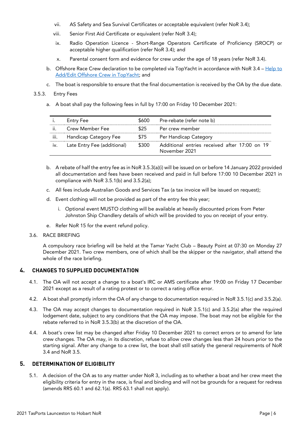- vii. AS Safety and Sea Survival Certificates or acceptable equivalent (refer NoR 3.4);
- viii. Senior First Aid Certificate or equivalent (refer NoR 3.4);
- ix. Radio Operation Licence Short-Range Operators Certificate of Proficiency (SROCP) or acceptable higher qualification (refer NoR 3.4); and
- x. Parental consent form and evidence for crew under the age of 18 years (refer NoR 3.4).
- b. Offshore Race Crew declaration to be completed via TopYacht in accordance with NoR 3.4 Help to [Add/Edit Offshore Crew in TopYacht; and](https://www.topyacht.com.au/mt/docs/offshore-crew.pdf)
- c. The boat is responsible to ensure that the final documentation is received by the OA by the due date.

#### 3.5.3. Entry Fees

a. A boat shall pay the following fees in full by 17:00 on Friday 10 December 2021:

|      | Entry Fee                   | \$600 | Pre-rebate (refer note b)                                      |
|------|-----------------------------|-------|----------------------------------------------------------------|
| −ii… | Crew Member Fee             | \$25. | Per crew member                                                |
| iii. | Handicap Category Fee       | \$75  | Per Handicap Category                                          |
| iv.  | Late Entry Fee (additional) | \$300 | Additional entries received after 17:00 on 19<br>November 2021 |

- b. A rebate of half the entry fee as in NoR 3.5.3(a)(i) will be issued on or before 14 January 2022 provided all documentation and fees have been received and paid in full before 17:00 10 December 2021 in compliance with NoR 3.5.1(b) and 3.5.2(a);
- c. All fees include Australian Goods and Services Tax (a tax invoice will be issued on request);
- d. Event clothing will not be provided as part of the entry fee this year;
	- i. Optional event MUSTO clothing will be available at heavily discounted prices from Peter Johnston Ship Chandlery details of which will be provided to you on receipt of your entry.
- e. Refer NoR 15 for the event refund policy.
- 3.6. RACE BRIEFING

A compulsory race briefing will be held at the Tamar Yacht Club – Beauty Point at 07:30 on Monday 27 December 2021. Two crew members, one of which shall be the skipper or the navigator, shall attend the whole of the race briefing.

#### **4. CHANGES TO SUPPLIED DOCUMENTATION**

- 4.1. The OA will not accept a change to a boat's IRC or AMS certificate after 19:00 on Friday 17 December 2021 except as a result of a rating protest or to correct a rating office error.
- 4.2. A boat shall promptly inform the OA of any change to documentation required in NoR 3.5.1(c) and 3.5.2(a).
- 4.3. The OA may accept changes to documentation required in NoR 3.5.1(c) and 3.5.2(a) after the required lodgement date, subject to any conditions that the OA may impose. The boat may not be eligible for the rebate referred to in NoR 3.5.3(b) at the discretion of the OA.
- 4.4. A boat's crew list may be changed after Friday 10 December 2021 to correct errors or to amend for late crew changes. The OA may, in its discretion, refuse to allow crew changes less than 24 hours prior to the starting signal. After any change to a crew list, the boat shall still satisfy the general requirements of NoR 3.4 and NoR 3.5.

#### **5. DETERMINATION OF ELIGIBILITY**

5.1. A decision of the OA as to any matter under NoR 3, including as to whether a boat and her crew meet the eligibility criteria for entry in the race, is final and binding and will not be grounds for a request for redress (amends RRS 60.1 and 62.1(a). RRS 63.1 shall not apply).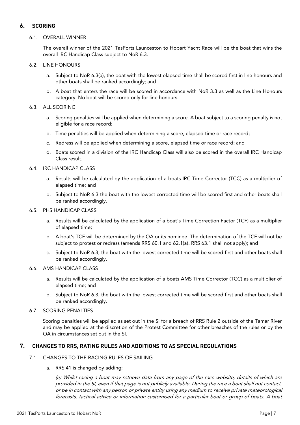#### **6. SCORING**

#### 6.1. OVERALL WINNER

The overall winner of the 2021 TasPorts Launceston to Hobart Yacht Race will be the boat that wins the overall IRC Handicap Class subject to NoR 6.3.

#### 6.2. LINE HONOURS

- a. Subject to NoR 6.3(a), the boat with the lowest elapsed time shall be scored first in line honours and other boats shall be ranked accordingly; and
- b. A boat that enters the race will be scored in accordance with NoR 3.3 as well as the Line Honours category. No boat will be scored only for line honours.

#### 6.3. ALL SCORING

- a. Scoring penalties will be applied when determining a score. A boat subject to a scoring penalty is not eligible for a race record;
- b. Time penalties will be applied when determining a score, elapsed time or race record;
- c. Redress will be applied when determining a score, elapsed time or race record; and
- d. Boats scored in a division of the IRC Handicap Class will also be scored in the overall IRC Handicap Class result.
- 6.4. IRC HANDICAP CLASS
	- a. Results will be calculated by the application of a boats IRC Time Corrector (TCC) as a multiplier of elapsed time; and
	- b. Subject to NoR 6.3 the boat with the lowest corrected time will be scored first and other boats shall be ranked accordingly.

#### 6.5. PHS HANDICAP CLASS

- a. Results will be calculated by the application of a boat's Time Correction Factor (TCF) as a multiplier of elapsed time;
- b. A boat's TCF will be determined by the OA or its nominee. The determination of the TCF will not be subject to protest or redress (amends RRS 60.1 and 62.1(a). RRS 63.1 shall not apply); and
- c. Subject to NoR 6.3, the boat with the lowest corrected time will be scored first and other boats shall be ranked accordingly.

#### 6.6. AMS HANDICAP CLASS

- a. Results will be calculated by the application of a boats AMS Time Corrector (TCC) as a multiplier of elapsed time; and
- b. Subject to NoR 6.3, the boat with the lowest corrected time will be scored first and other boats shall be ranked accordingly.

#### 6.7. SCORING PENALTIES

Scoring penalties will be applied as set out in the SI for a breach of RRS Rule 2 outside of the Tamar River and may be applied at the discretion of the Protest Committee for other breaches of the rules or by the OA in circumstances set out in the SI.

#### **7. CHANGES TO RRS, RATING RULES AND ADDITIONS TO AS SPECIAL REGULATIONS**

#### 7.1. CHANGES TO THE RACING RULES OF SAILING

a. RRS 41 is changed by adding:

(e) Whilst racing a boat may retrieve data from any page of the race website, details of which are provided in the SI, even if that page is not publicly available. During the race a boat shall not contact, or be in contact with any person or private entity using any medium to receive private meteorological forecasts, tactical advice or information customised for a particular boat or group of boats. A boat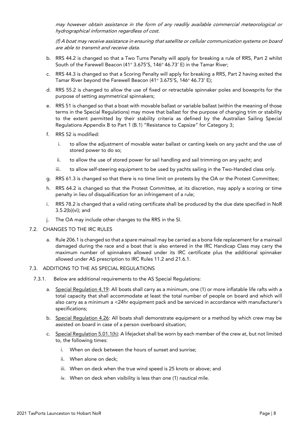may however obtain assistance in the form of any readily available commercial meteorological or hydrographical information regardless of cost.

(f) A boat may receive assistance in ensuring that satellite or cellular communication systems on board are able to transmit and receive data.

- b. RRS 44.2 is changed so that a Two Turns Penalty will apply for breaking a rule of RRS, Part 2 whilst South of the Farewell Beacon (41° 3.675'S, 146° 46.73' E) in the Tamar River:
- c. RRS 44.3 is changed so that a Scoring Penalty will apply for breaking a RRS, Part 2 having exited the Tamar River beyond the Farewell Beacon (41° 3.675'S, 146° 46.73' E);
- d. RRS 55.2 is changed to allow the use of fixed or retractable spinnaker poles and bowsprits for the purpose of setting asymmetrical spinnakers;
- e. RRS 51 is changed so that a boat with movable ballast or variable ballast (within the meaning of those terms in the Special Regulations) may move that ballast for the purpose of changing trim or stability to the extent permitted by their stability criteria as defined by the Australian Sailing Special Regulations Appendix B to Part 1 (B.1) "Resistance to Capsize" for Category 3;
- f. RRS 52 is modified:
	- i. to allow the adjustment of movable water ballast or canting keels on any yacht and the use of stored power to do so;
	- ii. to allow the use of stored power for sail handling and sail trimming on any yacht; and
	- iii. to allow self-steering equipment to be used by yachts sailing in the Two-Handed class only.
- g. RRS 61.3 is changed so that there is no time limit on protests by the OA or the Protest Committee;
- h. RRS 64.2 is changed so that the Protest Committee, at its discretion, may apply a scoring or time penalty in lieu of disqualification for an infringement of a rule;
- i. RRS 78.2 is changed that a valid rating certificate shall be produced by the due date specified in NoR 3.5.2(b)(vi); and
- j. The OA may include other changes to the RRS in the SI.
- 7.2. CHANGES TO THE IRC RULES
	- a. Rule 206.1 is changed so that a spare mainsail may be carried as a bona fide replacement for a mainsail damaged during the race and a boat that is also entered in the IRC Handicap Class may carry the maximum number of spinnakers allowed under its IRC certificate plus the additional spinnaker allowed under AS prescription to IRC Rules 11.2 and 21.6.1.
- 7.3. ADDITIONS TO THE AS SPECIAL REGULATIONS
	- 7.3.1. Below are additional requirements to the AS Special Regulations:
		- a. Special Regulation 4.19: All boats shall carry as a minimum, one (1) or more inflatable life rafts with a total capacity that shall accommodate at least the total number of people on board and which will also carry as a minimum a <24hr equipment pack and be serviced in accordance with manufacturer's specifications;
		- b. Special Regulation 4.26: All boats shall demonstrate equipment or a method by which crew may be assisted on board in case of a person overboard situation;
		- c. Special Regulation 5.01.1(h): A lifejacket shall be worn by each member of the crew at, but not limited to, the following times:
			- i. When on deck between the hours of sunset and sunrise;
			- ii. When alone on deck;
			- iii. When on deck when the true wind speed is 25 knots or above; and
			- iv. When on deck when visibility is less than one (1) nautical mile.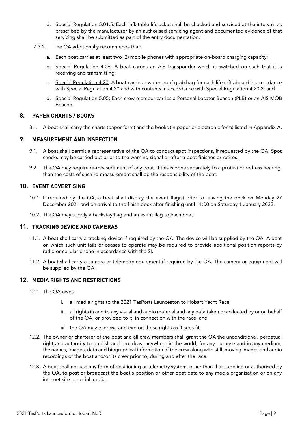- d. Special Regulation 5.01.5: Each inflatable lifejacket shall be checked and serviced at the intervals as prescribed by the manufacturer by an authorised servicing agent and documented evidence of that servicing shall be submitted as part of the entry documentation.
- 7.3.2. The OA additionally recommends that:
	- a. Each boat carries at least two (2) mobile phones with appropriate on-board charging capacity;
	- b. Special Regulation 4.09: A boat carries an AIS transponder which is switched on such that it is receiving and transmitting;
	- c. Special Regulation 4.20: A boat carries a waterproof grab bag for each life raft aboard in accordance with Special Regulation 4.20 and with contents in accordance with Special Regulation 4.20.2; and
	- d. Special Regulation 5.05: Each crew member carries a Personal Locator Beacon (PLB) or an AIS MOB Beacon.

#### **8. PAPER CHARTS / BOOKS**

8.1. A boat shall carry the charts (paper form) and the books (in paper or electronic form) listed in Appendix A.

#### **9. MEASUREMENT AND INSPECTION**

- 9.1. A boat shall permit a representative of the OA to conduct spot inspections, if requested by the OA. Spot checks may be carried out prior to the warning signal or after a boat finishes or retires.
- 9.2. The OA may require re-measurement of any boat. If this is done separately to a protest or redress hearing, then the costs of such re-measurement shall be the responsibility of the boat.

#### **10. EVENT ADVERTISING**

- 10.1. If required by the OA, a boat shall display the event flag(s) prior to leaving the dock on Monday 27 December 2021 and on arrival to the finish dock after finishing until 11:00 on Saturday 1 January 2022.
- 10.2. The OA may supply a backstay flag and an event flag to each boat.

#### **11. TRACKING DEVICE AND CAMERAS**

- 11.1. A boat shall carry a tracking device if required by the OA. The device will be supplied by the OA. A boat on which such unit fails or ceases to operate may be required to provide additional position reports by radio or cellular phone in accordance with the SI.
- 11.2. A boat shall carry a camera or telemetry equipment if required by the OA. The camera or equipment will be supplied by the OA.

#### **12. MEDIA RIGHTS AND RESTRICTIONS**

- 12.1. The OA owns:
	- i. all media rights to the 2021 TasPorts Launceston to Hobart Yacht Race;
	- ii. all rights in and to any visual and audio material and any data taken or collected by or on behalf of the OA, or provided to it, in connection with the race; and
	- iii. the OA may exercise and exploit those rights as it sees fit.
- 12.2. The owner or charterer of the boat and all crew members shall grant the OA the unconditional, perpetual right and authority to publish and broadcast anywhere in the world, for any purpose and in any medium, the names, images, data and biographical information of the crew along with still, moving images and audio recordings of the boat and/or its crew prior to, during and after the race.
- 12.3. A boat shall not use any form of positioning or telemetry system, other than that supplied or authorised by the OA, to post or broadcast the boat's position or other boat data to any media organisation or on any internet site or social media.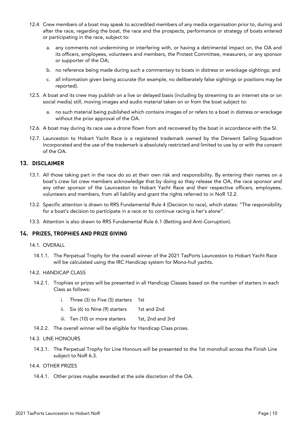- 12.4. Crew members of a boat may speak to accredited members of any media organisation prior to, during and after the race, regarding the boat, the race and the prospects, performance or strategy of boats entered or participating in the race, subject to:
	- a. any comments not undermining or interfering with, or having a detrimental impact on, the OA and its officers, employees, volunteers and members, the Protest Committee, measurers, or any sponsor or supporter of the OA;
	- b. no reference being made during such a commentary to boats in distress or wreckage sightings; and
	- c. all information given being accurate (for example, no deliberately false sightings or positions may be reported).
- 12.5. A boat and its crew may publish on a live or delayed basis (including by streaming to an internet site or on social media) still, moving images and audio material taken on or from the boat subject to:
	- a. no such material being published which contains images of or refers to a boat in distress or wreckage without the prior approval of the OA.
- 12.6. A boat may during its race use a drone flown from and recovered by the boat in accordance with the SI.
- 12.7. Launceston to Hobart Yacht Race is a registered trademark owned by the Derwent Sailing Squadron Incorporated and the use of the trademark is absolutely restricted and limited to use by or with the consent of the OA.

#### **13. DISCLAIMER**

- 13.1. All those taking part in the race do so at their own risk and responsibility. By entering their names on a boat's crew list crew members acknowledge that by doing so they release the OA, the race sponsor and any other sponsor of the Launceston to Hobart Yacht Race and their respective officers, employees, volunteers and members, from all liability and grant the rights referred to in NoR 12.2.
- 13.2. Specific attention is drawn to RRS Fundamental Rule 4 (Decision to race), which states: "The responsibility for a boat's decision to participate in a race or to continue racing is her's alone".
- 13.3. Attention is also drawn to RRS Fundamental Rule 6.1 (Betting and Anti-Corruption).

#### **14. PRIZES, TROPHIES AND PRIZE GIVING**

- 14.1. OVERALL
	- 14.1.1. The Perpetual Trophy for the overall winner of the 2021 TasPorts Launceston to Hobart Yacht Race will be calculated using the IRC Handicap system for Mono-hull yachts.

#### 14.2. HANDICAP CLASS

- 14.2.1. Trophies or prizes will be presented in all Handicap Classes based on the number of starters in each Class as follows:
	- i. Three (3) to Five (5) starters 1st
	- ii. Six (6) to Nine (9) starters 1st and 2nd
	- iii. Ten (10) or more starters 1st, 2nd and 3rd
- 14.2.2. The overall winner will be eligible for Handicap Class prizes.

#### 14.3. LINE HONOURS

- 14.3.1. The Perpetual Trophy for Line Honours will be presented to the 1st monohull across the Finish Line subject to NoR 6.3.
- 14.4. OTHER PRIZES
	- 14.4.1. Other prizes maybe awarded at the sole discretion of the OA.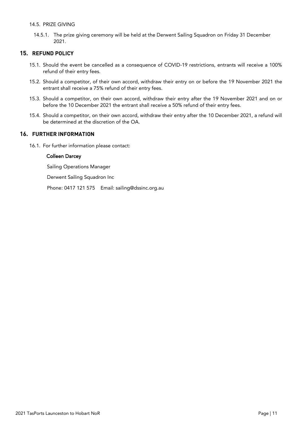#### 14.5. PRIZE GIVING

14.5.1. The prize giving ceremony will be held at the Derwent Sailing Squadron on Friday 31 December 2021.

#### **15. REFUND POLICY**

- 15.1. Should the event be cancelled as a consequence of COVID-19 restrictions, entrants will receive a 100% refund of their entry fees.
- 15.2. Should a competitor, of their own accord, withdraw their entry on or before the 19 November 2021 the entrant shall receive a 75% refund of their entry fees.
- 15.3. Should a competitor, on their own accord, withdraw their entry after the 19 November 2021 and on or before the 10 December 2021 the entrant shall receive a 50% refund of their entry fees.
- 15.4. Should a competitor, on their own accord, withdraw their entry after the 10 December 2021, a refund will be determined at the discretion of the OA.

#### **16. FURTHER INFORMATION**

16.1. For further information please contact:

#### Colleen Darcey

Sailing Operations Manager

Derwent Sailing Squadron Inc

Phone: 0417 121 575 Email: sailing@dssinc.org.au